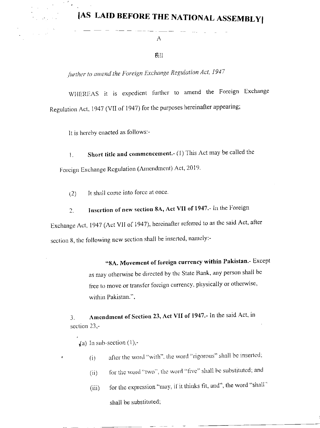## **JAS LAID BEFORE THE NATIONAL ASSEMBLY**

A

## $6111$

further to amend the Foreign Exchange Regulation Act, 1947

WHEREAS it is expedient further to amend the Foreign Exchange Regulation Act, 1947 (VII of 1947) for the purposes hereinafter appearing;

It is hereby enacted as follows:-

Short title and commencement.- (1) This Act may be called the 1. Foreign Exchange Regulation (Amendment) Act, 2019.

It shall come into force at once.  $(2)$ 

Insertion of new section 8A, Act VII of 1947.- In the Foreign  $2.$ 

Exchange Act, 1947 (Act VII of 1947), hereinafter referred to as the said Act, after section 8, the following new section shall be inserted, namely:-

> "8A. Movement of foreign currency within Pakistan.- Except as may otherwise be directed by the State Bank, any person shall be free to move or transfer foreign currency, physically or otherwise, within Pakistan.".

Amendment of Section 23, Act VII of 1947.- In the said Act, in  $3.$ section  $23$ ,-

(a) In sub-section  $(1)$ ,-

- after the word "with", the word "rigorous" shall be inserted;  $(i)$
- for the word "two", the word "five" shall be substituted; and  $(n)$
- for the expression "may, if it thinks fit, and", the word "shall"  $(iii)$ shall be substituted;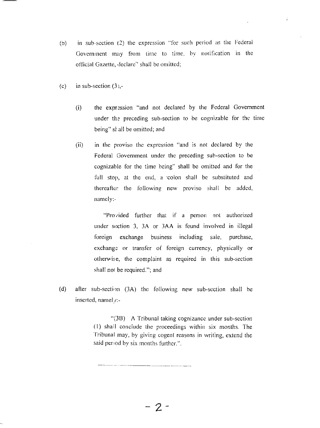- in sub-section (2) the expression "for such period as the Federal  $(b)$ Government may from time to time, by notification in the official Gazette, declare" shall be omitted;
- $(c)$ in sub-section  $(3)$ ,-
	- $(i)$ the expression "and not declared by the Federal Government under the preceding sub-section to be cognizable for the time being" shall be omitted; and

 $\boldsymbol{\cdot}$ 

in the proviso the expression "and is not declared by the  $(ii)$ Federal Government under the preceding sub-section to be cognizable for the time being" shall be omitted and for the full stop, at the end, a colon shall be substituted and thereafter the following new proviso shall be added, namely.

> "Provided further that if a person not authorized under section 3, 3A or 3AA is found involved in illegal foreign exchange business including sale, purchase, exchange or transfer of foreign currency, physically or otherwise, the complaint as required in this sub-section shall not be required."; and

 $(d)$ after sub-section (3A) the following new sub-section shall be inserted, namely:-

> "(3B) A Tribunal taking cognizance under sub-section (1) shall conclude the proceedings within six months. The Tribunal may, by giving cogent reasons in writing, extend the said period by six months further.".